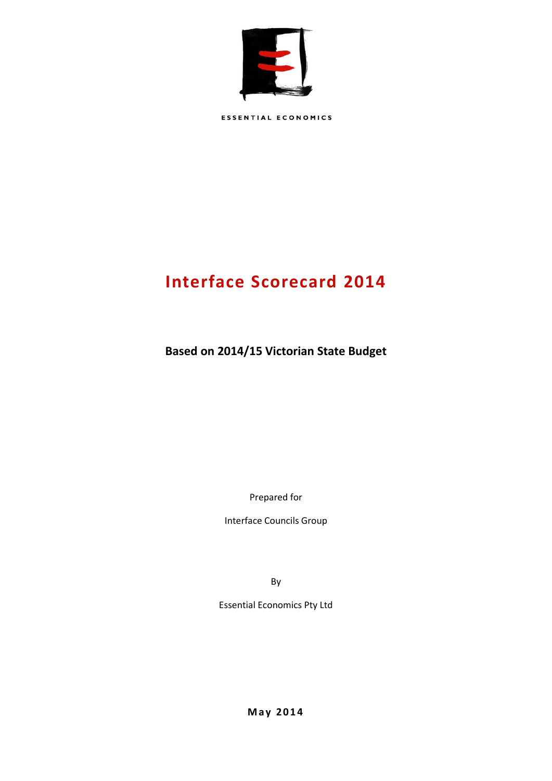

**ESSENTIAL ECONOMICS** 

# **Interface Scorecard 2014**

**Based on 2014/15 Victorian State Budget**

Prepared for

Interface Councils Group

By

Essential Economics Pty Ltd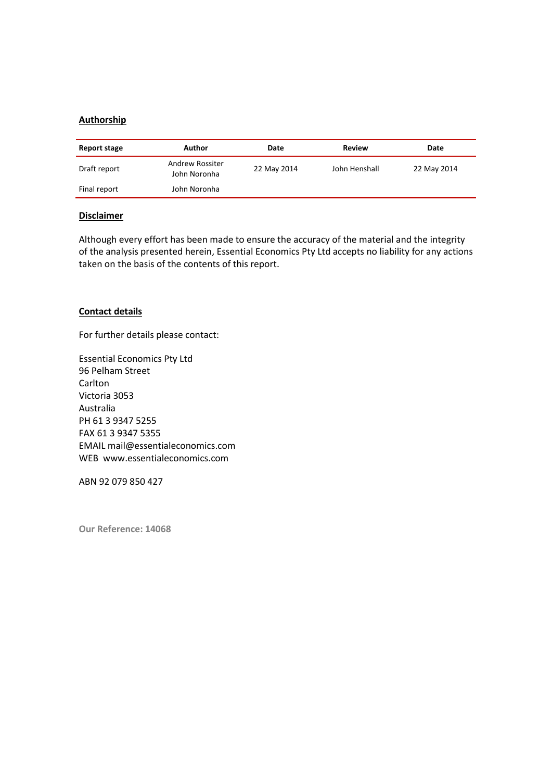### **Authorship**

| Report stage | Author                          | Date        | Review        | Date        |
|--------------|---------------------------------|-------------|---------------|-------------|
| Draft report | Andrew Rossiter<br>John Noronha | 22 May 2014 | John Henshall | 22 May 2014 |
| Final report | John Noronha                    |             |               |             |

#### **Disclaimer**

Although every effort has been made to ensure the accuracy of the material and the integrity of the analysis presented herein, Essential Economics Pty Ltd accepts no liability for any actions taken on the basis of the contents of this report.

#### **Contact details**

For further details please contact:

Essential Economics Pty Ltd 96 Pelham Street **Carlton** Victoria 3053 Australia PH 61 3 9347 5255 FAX 61 3 9347 5355 EMAIL mail@essentialeconomics.com WEB www.essentialeconomics.com

ABN 92 079 850 427

**Our Reference: 14068**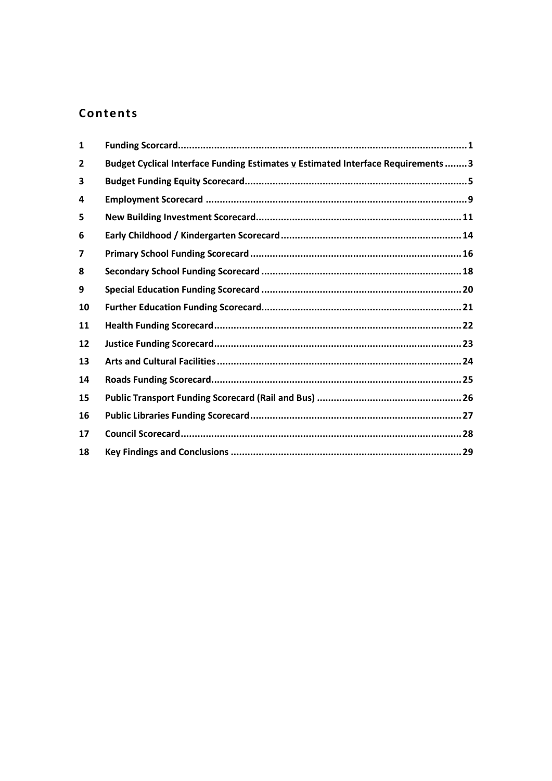## Contents

| $\mathbf{1}$            |                                                                                 |  |
|-------------------------|---------------------------------------------------------------------------------|--|
| $\overline{2}$          | Budget Cyclical Interface Funding Estimates v Estimated Interface Requirements3 |  |
| 3                       |                                                                                 |  |
| 4                       |                                                                                 |  |
| 5                       |                                                                                 |  |
| 6                       |                                                                                 |  |
| $\overline{\mathbf{z}}$ |                                                                                 |  |
| 8                       |                                                                                 |  |
| 9                       |                                                                                 |  |
| 10                      |                                                                                 |  |
| 11                      |                                                                                 |  |
| 12                      |                                                                                 |  |
| 13                      |                                                                                 |  |
| 14                      |                                                                                 |  |
| 15                      |                                                                                 |  |
| 16                      |                                                                                 |  |
| 17                      |                                                                                 |  |
| 18                      |                                                                                 |  |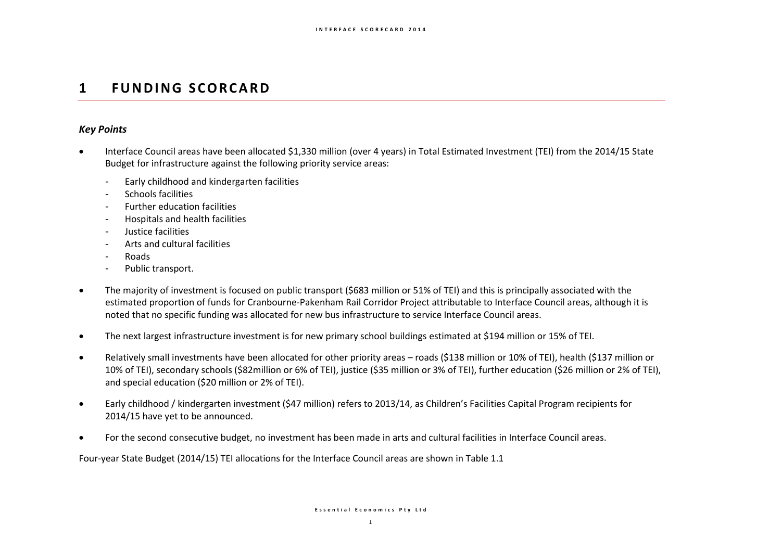## **1 F U N D I N G S C O R C A R D**

### *Key Points*

- Interface Council areas have been allocated \$1,330 million (over 4 years) in Total Estimated Investment (TEI) from the 2014/15 State Budget for infrastructure against the following priority service areas:
	- Early childhood and kindergarten facilities
	- Schools facilities
	- Further education facilities
	- Hospitals and health facilities
	- Justice facilities
	- Arts and cultural facilities
	- Roads
	- Public transport.
- The majority of investment is focused on public transport (\$683 million or 51% of TEI) and this is principally associated with the estimated proportion of funds for Cranbourne-Pakenham Rail Corridor Project attributable to Interface Council areas, although it is noted that no specific funding was allocated for new bus infrastructure to service Interface Council areas.
- The next largest infrastructure investment is for new primary school buildings estimated at \$194 million or 15% of TEI.
- Relatively small investments have been allocated for other priority areas roads (\$138 million or 10% of TEI), health (\$137 million or 10% of TEI), secondary schools (\$82million or 6% of TEI), justice (\$35 million or 3% of TEI), further education (\$26 million or 2% of TEI), and special education (\$20 million or 2% of TEI).
- Early childhood / kindergarten investment (\$47 million) refers to 2013/14, as Children's Facilities Capital Program recipients for 2014/15 have yet to be announced.
- For the second consecutive budget, no investment has been made in arts and cultural facilities in Interface Council areas.

Four-year State Budget (2014/15) TEI allocations for the Interface Council areas are shown in Table 1.1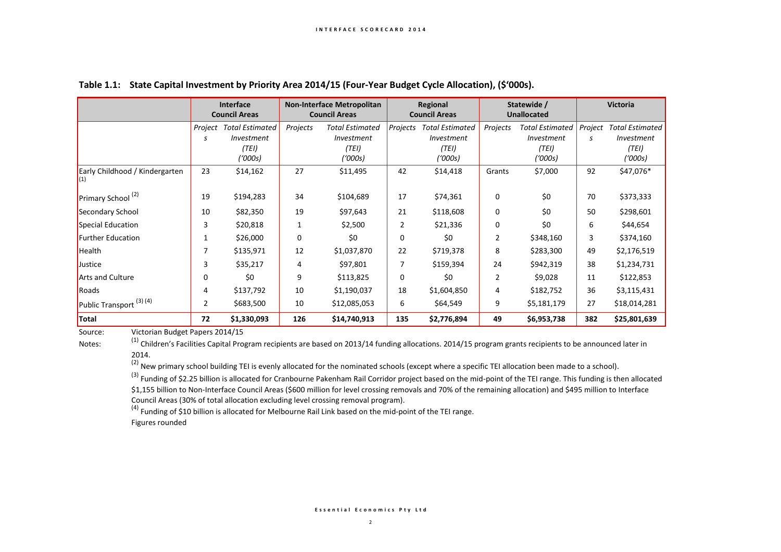|                                       | Interface<br><b>Council Areas</b> |                                                          | <b>Non-Interface Metropolitan</b><br><b>Council Areas</b> |                                                          | Regional<br><b>Council Areas</b> |                                                                 | Statewide /<br><b>Unallocated</b> |                                                          | <b>Victoria</b> |                                                          |
|---------------------------------------|-----------------------------------|----------------------------------------------------------|-----------------------------------------------------------|----------------------------------------------------------|----------------------------------|-----------------------------------------------------------------|-----------------------------------|----------------------------------------------------------|-----------------|----------------------------------------------------------|
|                                       | Project<br>s                      | <b>Total Estimated</b><br>Investment<br>(TEI)<br>('000s) | Projects                                                  | <b>Total Estimated</b><br>Investment<br>(TEI)<br>('000s) | Projects                         | <b>Total Estimated</b><br><i>Investment</i><br>(TEI)<br>('000s) | Projects                          | <b>Total Estimated</b><br>Investment<br>(TEI)<br>('000s) | Project<br>s    | <b>Total Estimated</b><br>Investment<br>(TEI)<br>('000s) |
| Early Childhood / Kindergarten<br>(1) | 23                                | \$14,162                                                 | 27                                                        | \$11,495                                                 | 42                               | \$14,418                                                        | Grants                            | \$7,000                                                  | 92              | \$47,076*                                                |
| Primary School <sup>(2)</sup>         | 19                                | \$194,283                                                | 34                                                        | \$104,689                                                | 17                               | \$74,361                                                        | 0                                 | \$0                                                      | 70              | \$373,333                                                |
| Secondary School                      | 10                                | \$82,350                                                 | 19                                                        | \$97,643                                                 | 21                               | \$118,608                                                       | $\mathbf 0$                       | \$0                                                      | 50              | \$298,601                                                |
| Special Education                     | 3                                 | \$20,818                                                 | 1                                                         | \$2,500                                                  | $\overline{2}$                   | \$21,336                                                        | 0                                 | \$0                                                      | 6               | \$44,654                                                 |
| Further Education                     | 1                                 | \$26,000                                                 | 0                                                         | \$0                                                      | 0                                | \$0                                                             | 2                                 | \$348,160                                                | 3               | \$374,160                                                |
| Health                                | 7                                 | \$135,971                                                | 12                                                        | \$1,037,870                                              | 22                               | \$719,378                                                       | 8                                 | \$283,300                                                | 49              | \$2,176,519                                              |
| Justice                               | 3                                 | \$35,217                                                 | 4                                                         | \$97,801                                                 | 7                                | \$159,394                                                       | 24                                | \$942,319                                                | 38              | \$1,234,731                                              |
| Arts and Culture                      | $\mathbf 0$                       | \$0                                                      | 9                                                         | \$113,825                                                | 0                                | \$0                                                             | $\overline{2}$                    | \$9,028                                                  | 11              | \$122,853                                                |
| Roads                                 | 4                                 | \$137,792                                                | 10                                                        | \$1,190,037                                              | 18                               | \$1,604,850                                                     | 4                                 | \$182,752                                                | 36              | \$3,115,431                                              |
| Public Transport <sup>(3)(4)</sup>    | $\overline{2}$                    | \$683,500                                                | 10                                                        | \$12,085,053                                             | 6                                | \$64,549                                                        | 9                                 | \$5,181,179                                              | 27              | \$18,014,281                                             |
| Total                                 | 72                                | \$1,330,093                                              | 126                                                       | \$14,740,913                                             | 135                              | \$2,776,894                                                     | 49                                | \$6,953,738                                              | 382             | \$25,801,639                                             |

#### **Table 1.1: State Capital Investment by Priority Area 2014/15 (Four-Year Budget Cycle Allocation), (\$'000s).**

Source: Victorian Budget Papers 2014/15

Notes: <sup>(1)</sup> Children's Facilities Capital Program recipients are based on 2013/14 funding allocations. 2014/15 program grants recipients to be announced later in 2014.

 $(2)$  New primary school building TEI is evenly allocated for the nominated schools (except where a specific TEI allocation been made to a school).

 $^{(3)}$  Funding of \$2.25 billion is allocated for Cranbourne Pakenham Rail Corridor project based on the mid-point of the TEI range. This funding is then allocated \$1,155 billion to Non-Interface Council Areas (\$600 million for level crossing removals and 70% of the remaining allocation) and \$495 million to Interface Council Areas (30% of total allocation excluding level crossing removal program).

(4) Funding of \$10 billion is allocated for Melbourne Rail Link based on the mid-point of the TEI range. Figures rounded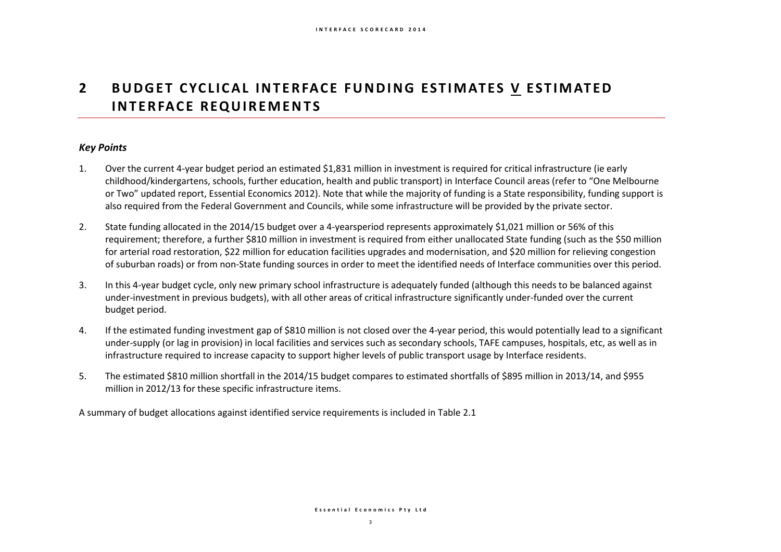## **2** BUDGET CYCLICAL INTERFACE FUNDING ESTIMATES V ESTIMATED **INTERFACE REQUIREMENTS**

### *Key Points*

- 1. Over the current 4-year budget period an estimated \$1,831 million in investment is required for critical infrastructure (ie early childhood/kindergartens, schools, further education, health and public transport) in Interface Council areas (refer to "One Melbourne or Two" updated report, Essential Economics 2012). Note that while the majority of funding is a State responsibility, funding support is also required from the Federal Government and Councils, while some infrastructure will be provided by the private sector.
- 2. State funding allocated in the 2014/15 budget over a 4-yearsperiod represents approximately \$1,021 million or 56% of this requirement; therefore, a further \$810 million in investment is required from either unallocated State funding (such as the \$50 million for arterial road restoration, \$22 million for education facilities upgrades and modernisation, and \$20 million for relieving congestion of suburban roads) or from non-State funding sources in order to meet the identified needs of Interface communities over this period.
- 3. In this 4-year budget cycle, only new primary school infrastructure is adequately funded (although this needs to be balanced against under-investment in previous budgets), with all other areas of critical infrastructure significantly under-funded over the current budget period.
- 4. If the estimated funding investment gap of \$810 million is not closed over the 4-year period, this would potentially lead to a significant under-supply (or lag in provision) in local facilities and services such as secondary schools, TAFE campuses, hospitals, etc, as well as in infrastructure required to increase capacity to support higher levels of public transport usage by Interface residents.
- 5. The estimated \$810 million shortfall in the 2014/15 budget compares to estimated shortfalls of \$895 million in 2013/14, and \$955 million in 2012/13 for these specific infrastructure items.

A summary of budget allocations against identified service requirements is included in Table 2.1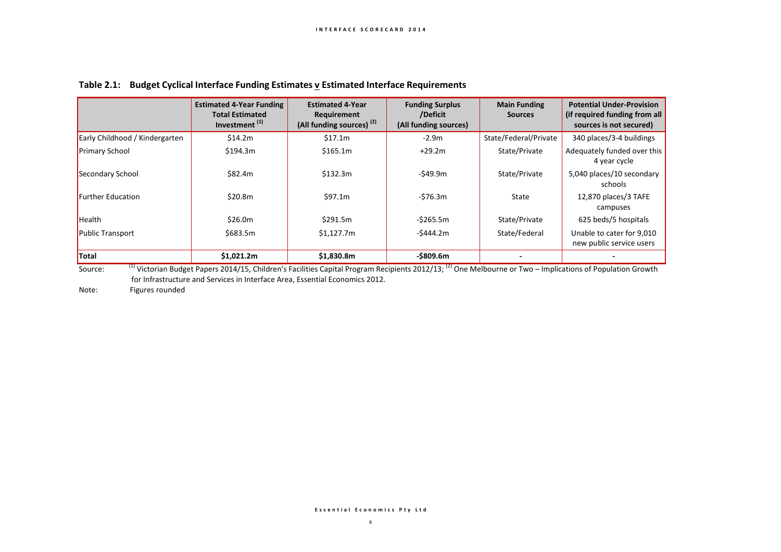|                                | <b>Estimated 4-Year Funding</b><br><b>Total Estimated</b><br>Investment <sup>(1)</sup> | <b>Estimated 4-Year</b><br>Requirement<br>(All funding sources) <sup>(2)</sup> | <b>Funding Surplus</b><br>/Deficit<br>(All funding sources) | <b>Main Funding</b><br><b>Sources</b> | <b>Potential Under-Provision</b><br>(if required funding from all<br>sources is not secured) |
|--------------------------------|----------------------------------------------------------------------------------------|--------------------------------------------------------------------------------|-------------------------------------------------------------|---------------------------------------|----------------------------------------------------------------------------------------------|
| Early Childhood / Kindergarten | \$14.2m                                                                                | \$17.1m                                                                        | $-2.9m$                                                     | State/Federal/Private                 | 340 places/3-4 buildings                                                                     |
| <b>Primary School</b>          | \$194.3m                                                                               | \$165.1m                                                                       | $+29.2m$                                                    | State/Private                         | Adequately funded over this<br>4 year cycle                                                  |
| Secondary School               | \$82.4m                                                                                | \$132.3m                                                                       | -\$49.9m                                                    | State/Private                         | 5,040 places/10 secondary<br>schools                                                         |
| <b>Further Education</b>       | \$20.8m                                                                                | \$97.1m                                                                        | -\$76.3m                                                    | State                                 | 12,870 places/3 TAFE<br>campuses                                                             |
| Health                         | \$26.0m                                                                                | \$291.5m                                                                       | $-5265.5m$                                                  | State/Private                         | 625 beds/5 hospitals                                                                         |
| <b>Public Transport</b>        | \$683.5m                                                                               | \$1,127.7m                                                                     | $-5444.2m$                                                  | State/Federal                         | Unable to cater for 9,010<br>new public service users                                        |
| <b>Total</b><br>$\sqrt{4}$     | \$1,021.2m                                                                             | \$1,830.8m                                                                     | $-$ \$809.6m                                                |                                       |                                                                                              |

### **Table 2.1: Budget Cyclical Interface Funding Estimates v Estimated Interface Requirements**

Source: <sup>(1)</sup> Victorian Budget Papers 2014/15, Children's Facilities Capital Program Recipients 2012/13; <sup>(2)</sup> One Melbourne or Two – Implications of Population Growth for Infrastructure and Services in Interface Area, Essential Economics 2012.

Note: Figures rounded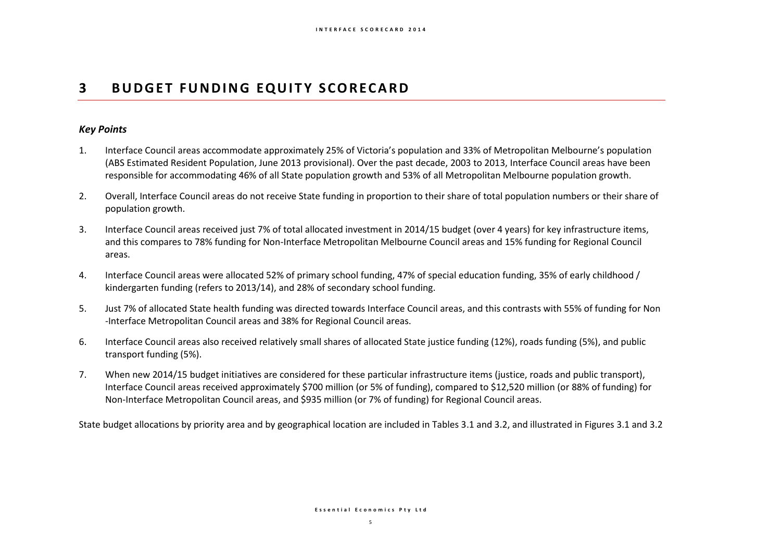## **3 BUDGET FUNDING EQUITY SCORECARD**

### *Key Points*

- 1. Interface Council areas accommodate approximately 25% of Victoria's population and 33% of Metropolitan Melbourne's population (ABS Estimated Resident Population, June 2013 provisional). Over the past decade, 2003 to 2013, Interface Council areas have been responsible for accommodating 46% of all State population growth and 53% of all Metropolitan Melbourne population growth.
- 2. Overall, Interface Council areas do not receive State funding in proportion to their share of total population numbers or their share of population growth.
- 3. Interface Council areas received just 7% of total allocated investment in 2014/15 budget (over 4 years) for key infrastructure items, and this compares to 78% funding for Non-Interface Metropolitan Melbourne Council areas and 15% funding for Regional Council areas.
- 4. Interface Council areas were allocated 52% of primary school funding, 47% of special education funding, 35% of early childhood / kindergarten funding (refers to 2013/14), and 28% of secondary school funding.
- 5. Just 7% of allocated State health funding was directed towards Interface Council areas, and this contrasts with 55% of funding for Non -Interface Metropolitan Council areas and 38% for Regional Council areas.
- 6. Interface Council areas also received relatively small shares of allocated State justice funding (12%), roads funding (5%), and public transport funding (5%).
- 7. When new 2014/15 budget initiatives are considered for these particular infrastructure items (justice, roads and public transport), Interface Council areas received approximately \$700 million (or 5% of funding), compared to \$12,520 million (or 88% of funding) for Non-Interface Metropolitan Council areas, and \$935 million (or 7% of funding) for Regional Council areas.

State budget allocations by priority area and by geographical location are included in Tables 3.1 and 3.2, and illustrated in Figures 3.1 and 3.2

#### **E s s e n t i a l E c o n o m i c s P t y L t d**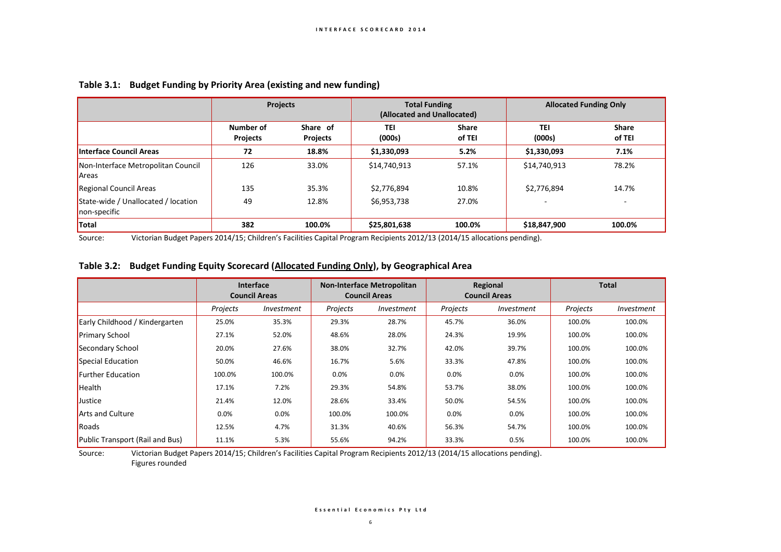|                                                     | <b>Projects</b>              |                      | <b>Total Funding</b><br>(Allocated and Unallocated) |                        |                      | <b>Allocated Funding Only</b> |  |
|-----------------------------------------------------|------------------------------|----------------------|-----------------------------------------------------|------------------------|----------------------|-------------------------------|--|
|                                                     | Number of<br><b>Projects</b> | Share of<br>Projects | TEI<br>(000s)                                       | <b>Share</b><br>of TEI | <b>TEI</b><br>(000s) | <b>Share</b><br>of TEI        |  |
| Interface Council Areas                             | 72                           | 18.8%                | \$1,330,093                                         | 5.2%                   | \$1,330,093          | 7.1%                          |  |
| Non-Interface Metropolitan Council<br>Areas         | 126                          | 33.0%                | \$14,740,913                                        | 57.1%                  | \$14,740,913         | 78.2%                         |  |
| Regional Council Areas                              | 135                          | 35.3%                | \$2,776,894                                         | 10.8%                  | \$2,776,894          | 14.7%                         |  |
| State-wide / Unallocated / location<br>non-specific | 49                           | 12.8%                | \$6,953,738                                         | 27.0%                  |                      |                               |  |
| <b>Total</b>                                        | 382                          | 100.0%               | \$25,801,638                                        | 100.0%                 | \$18,847,900         | 100.0%                        |  |

#### **Table 3.1: Budget Funding by Priority Area (existing and new funding)**

Source: Victorian Budget Papers 2014/15; Children's Facilities Capital Program Recipients 2012/13 (2014/15 allocations pending).

#### **Table 3.2: Budget Funding Equity Scorecard (Allocated Funding Only), by Geographical Area**

|                                 | <b>Interface</b><br><b>Council Areas</b> |            | <b>Non-Interface Metropolitan</b><br><b>Council Areas</b> |                   | Regional<br><b>Council Areas</b> |            | <b>Total</b> |            |
|---------------------------------|------------------------------------------|------------|-----------------------------------------------------------|-------------------|----------------------------------|------------|--------------|------------|
|                                 | Projects                                 | Investment | Projects                                                  | <i>Investment</i> | Projects                         | Investment | Projects     | Investment |
| Early Childhood / Kindergarten  | 25.0%                                    | 35.3%      | 29.3%                                                     | 28.7%             | 45.7%                            | 36.0%      | 100.0%       | 100.0%     |
| <b>Primary School</b>           | 27.1%                                    | 52.0%      | 48.6%                                                     | 28.0%             | 24.3%                            | 19.9%      | 100.0%       | 100.0%     |
| Secondary School                | 20.0%                                    | 27.6%      | 38.0%                                                     | 32.7%             | 42.0%                            | 39.7%      | 100.0%       | 100.0%     |
| Special Education               | 50.0%                                    | 46.6%      | 16.7%                                                     | 5.6%              | 33.3%                            | 47.8%      | 100.0%       | 100.0%     |
| <b>Further Education</b>        | 100.0%                                   | 100.0%     | 0.0%                                                      | 0.0%              | 0.0%                             | 0.0%       | 100.0%       | 100.0%     |
| Health                          | 17.1%                                    | 7.2%       | 29.3%                                                     | 54.8%             | 53.7%                            | 38.0%      | 100.0%       | 100.0%     |
| Justice                         | 21.4%                                    | 12.0%      | 28.6%                                                     | 33.4%             | 50.0%                            | 54.5%      | 100.0%       | 100.0%     |
| <b>Arts and Culture</b>         | 0.0%                                     | 0.0%       | 100.0%                                                    | 100.0%            | 0.0%                             | 0.0%       | 100.0%       | 100.0%     |
| Roads                           | 12.5%                                    | 4.7%       | 31.3%                                                     | 40.6%             | 56.3%                            | 54.7%      | 100.0%       | 100.0%     |
| Public Transport (Rail and Bus) | 11.1%                                    | 5.3%       | 55.6%                                                     | 94.2%             | 33.3%                            | 0.5%       | 100.0%       | 100.0%     |

Source: Victorian Budget Papers 2014/15; Children's Facilities Capital Program Recipients 2012/13 (2014/15 allocations pending).

Figures rounded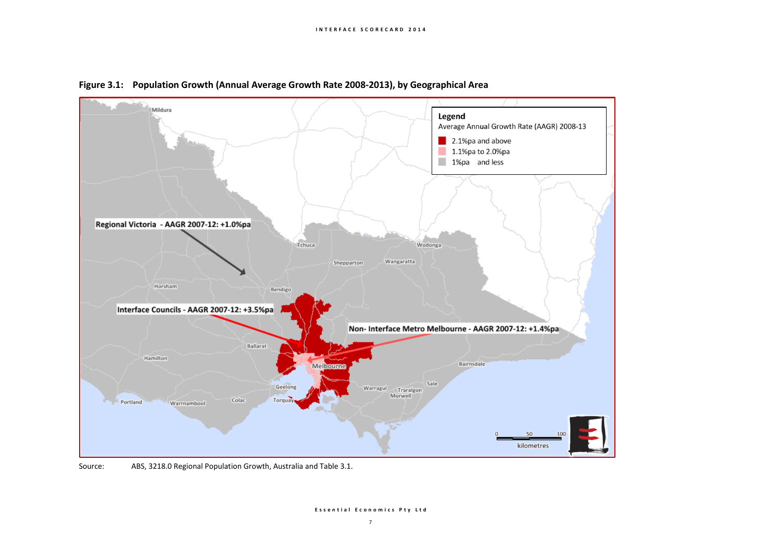

**Figure 3.1: Population Growth (Annual Average Growth Rate 2008-2013), by Geographical Area**

Source: ABS, 3218.0 Regional Population Growth, Australia and Table 3.1.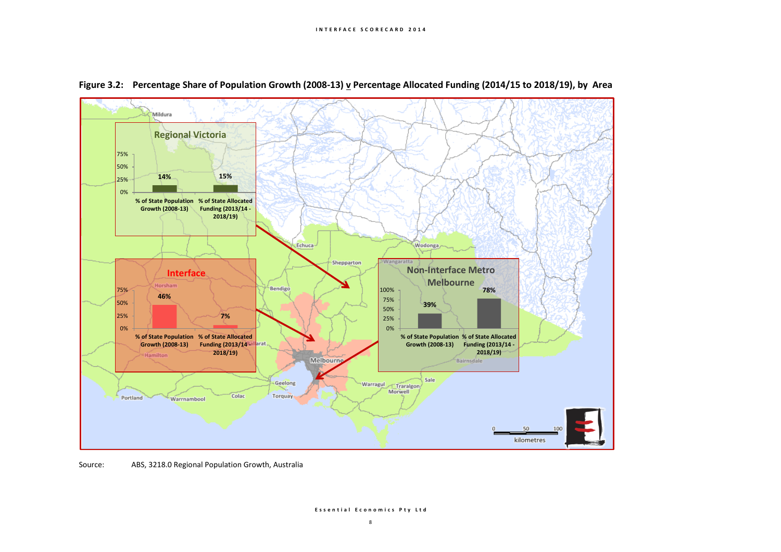



Source: ABS, 3218.0 Regional Population Growth, Australia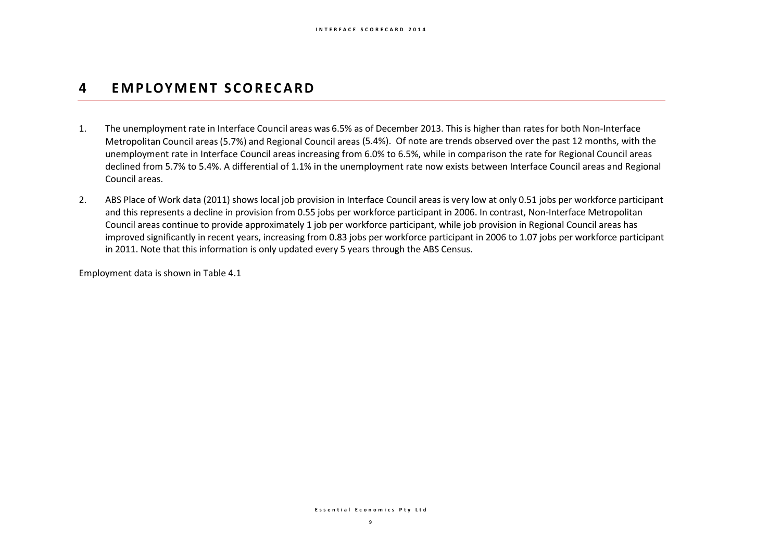## **4 EM P LOY M E N T S C O R E C A R D**

- 1. The unemployment rate in Interface Council areas was 6.5% as of December 2013. This is higher than rates for both Non-Interface Metropolitan Council areas(5.7%) and Regional Council areas (5.4%). Of note are trends observed over the past 12 months, with the unemployment rate in Interface Council areas increasing from 6.0% to 6.5%, while in comparison the rate for Regional Council areas declined from 5.7% to 5.4%. A differential of 1.1% in the unemployment rate now exists between Interface Council areas and Regional Council areas.
- 2. ABS Place of Work data (2011) shows local job provision in Interface Council areas is very low at only 0.51 jobs per workforce participant and this represents a decline in provision from 0.55 jobs per workforce participant in 2006. In contrast, Non-Interface Metropolitan Council areas continue to provide approximately 1 job per workforce participant, while job provision in Regional Council areas has improved significantly in recent years, increasing from 0.83 jobs per workforce participant in 2006 to 1.07 jobs per workforce participant in 2011. Note that this information is only updated every 5 years through the ABS Census.

Employment data is shown in Table 4.1

**E s s e n t i a l E c o n o m i c s P t y L t d**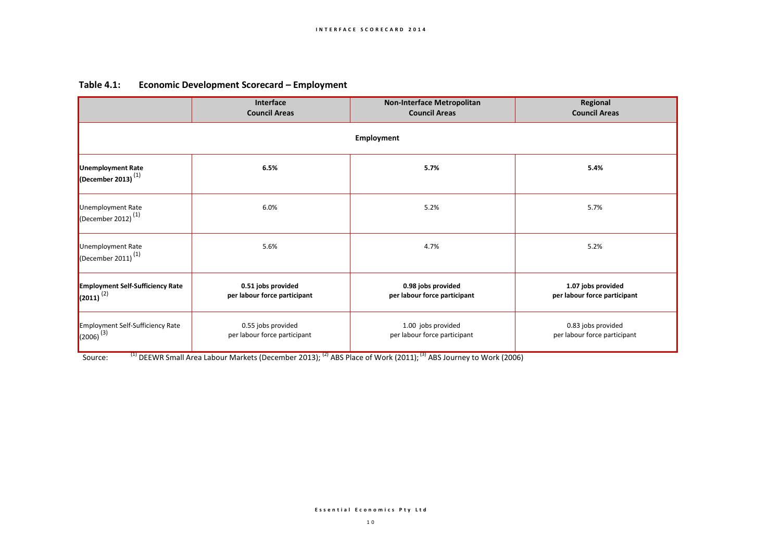| Table $4.1$ : | <b>Economic Development Scorecard - Employment</b> |  |
|---------------|----------------------------------------------------|--|
|---------------|----------------------------------------------------|--|

|                                                               | Interface<br><b>Council Areas</b>                  | <b>Non-Interface Metropolitan</b><br><b>Council Areas</b>                                                                                          | Regional<br><b>Council Areas</b>                   |  |  |  |  |  |  |  |
|---------------------------------------------------------------|----------------------------------------------------|----------------------------------------------------------------------------------------------------------------------------------------------------|----------------------------------------------------|--|--|--|--|--|--|--|
| <b>Employment</b>                                             |                                                    |                                                                                                                                                    |                                                    |  |  |  |  |  |  |  |
| Unemployment Rate<br>(December 2013) $^{(1)}$                 | 6.5%                                               | 5.7%                                                                                                                                               | 5.4%                                               |  |  |  |  |  |  |  |
| Unemployment Rate<br>(December 2012) <sup>(1)</sup>           | 6.0%                                               | 5.2%                                                                                                                                               | 5.7%                                               |  |  |  |  |  |  |  |
| Unemployment Rate<br>(December 2011) <sup>(1)</sup>           | 5.6%                                               | 4.7%                                                                                                                                               | 5.2%                                               |  |  |  |  |  |  |  |
| <b>Employment Self-Sufficiency Rate</b><br>$(2011)^{(2)}$     | 0.51 jobs provided<br>per labour force participant | 0.98 jobs provided<br>per labour force participant                                                                                                 | 1.07 jobs provided<br>per labour force participant |  |  |  |  |  |  |  |
| Employment Self-Sufficiency Rate<br>$\left(2006\right)^{(3)}$ | 0.55 jobs provided<br>per labour force participant | 1.00 jobs provided<br>per labour force participant                                                                                                 | 0.83 jobs provided<br>per labour force participant |  |  |  |  |  |  |  |
| Source:                                                       |                                                    | <sup>(1)</sup> DEEWR Small Area Labour Markets (December 2013); <sup>(2)</sup> ABS Place of Work (2011); <sup>(3)</sup> ABS Journey to Work (2006) |                                                    |  |  |  |  |  |  |  |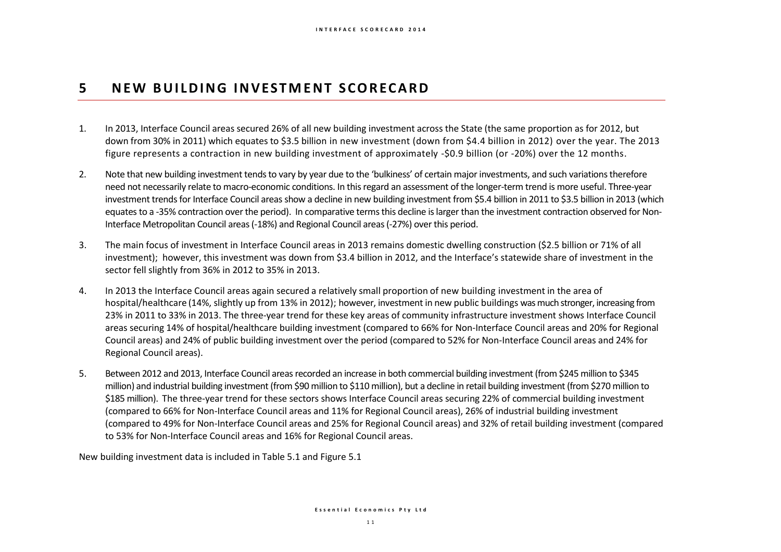## **5 N E W B U I L D I N G I N V E S T M E N T S C O R E C A R D**

- 1. In 2013, Interface Council areas secured 26% of all new building investment across the State (the same proportion as for 2012, but down from 30% in 2011) which equates to \$3.5 billion in new investment (down from \$4.4 billion in 2012) over the year. The 2013 figure represents a contraction in new building investment of approximately -\$0.9 billion (or -20%) over the 12 months.
- 2. Note that new building investment tends to vary by year due to the 'bulkiness' of certain major investments, and such variations therefore need not necessarily relate to macro-economic conditions. In this regard an assessment of the longer-term trend is more useful. Three-year investment trends for Interface Council areas show a decline in new building investment from \$5.4 billion in 2011 to \$3.5 billion in 2013 (which equates to a -35% contraction over the period). In comparative terms this decline is larger than the investment contraction observed for Non-Interface Metropolitan Council areas (-18%) and Regional Council areas (-27%) over this period.
- 3. The main focus of investment in Interface Council areas in 2013 remains domestic dwelling construction (\$2.5 billion or 71% of all investment); however, this investment was down from \$3.4 billion in 2012, and the Interface's statewide share of investment in the sector fell slightly from 36% in 2012 to 35% in 2013.
- 4. In 2013 the Interface Council areas again secured a relatively small proportion of new building investment in the area of hospital/healthcare (14%, slightly up from 13% in 2012); however, investment in new public buildings was much stronger, increasing from 23% in 2011 to 33% in 2013. The three-year trend for these key areas of community infrastructure investment shows Interface Council areas securing 14% of hospital/healthcare building investment (compared to 66% for Non-Interface Council areas and 20% for Regional Council areas) and 24% of public building investment over the period (compared to 52% for Non-Interface Council areas and 24% for Regional Council areas).
- 5. Between 2012 and 2013, Interface Council areas recorded an increase in both commercial building investment (from \$245 million to \$345 million) and industrial building investment (from \$90 million to \$110 million), but a decline in retail building investment (from \$270 million to \$185 million). The three-year trend for these sectors shows Interface Council areas securing 22% of commercial building investment (compared to 66% for Non-Interface Council areas and 11% for Regional Council areas), 26% of industrial building investment (compared to 49% for Non-Interface Council areas and 25% for Regional Council areas) and 32% of retail building investment (compared to 53% for Non-Interface Council areas and 16% for Regional Council areas.

New building investment data is included in Table 5.1 and Figure 5.1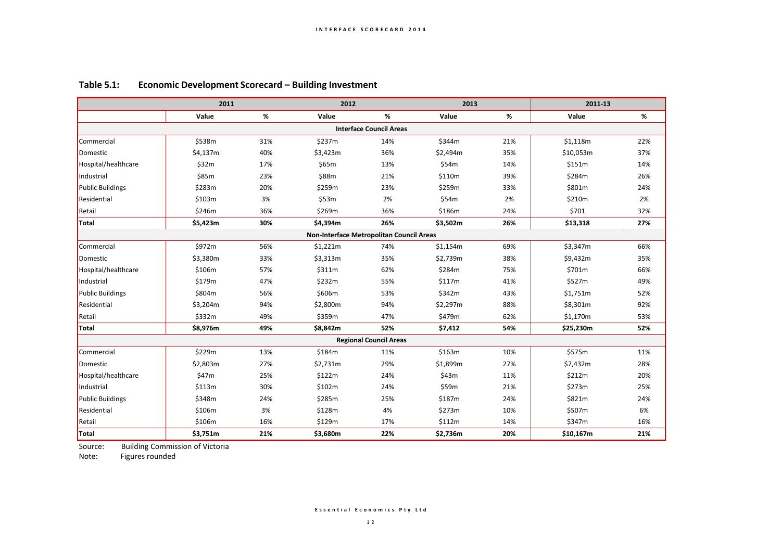|                                | 2011                                     |     | 2012     |                               | 2013     |      |           |     |  |  |  |
|--------------------------------|------------------------------------------|-----|----------|-------------------------------|----------|------|-----------|-----|--|--|--|
|                                | Value                                    | %   | Value    | %                             | Value    | $\%$ | Value     | %   |  |  |  |
| <b>Interface Council Areas</b> |                                          |     |          |                               |          |      |           |     |  |  |  |
| Commercial                     | \$538m                                   | 31% | \$237m   | 14%                           | \$344m   | 21%  | \$1,118m  | 22% |  |  |  |
| Domestic                       | \$4,137m                                 | 40% | \$3,423m | 36%                           | \$2,494m | 35%  | \$10,053m | 37% |  |  |  |
| Hospital/healthcare            | \$32m                                    | 17% | \$65m    | 13%                           | \$54m    | 14%  | \$151m    | 14% |  |  |  |
| Industrial                     | \$85m                                    | 23% | \$88m    | 21%                           | \$110m   | 39%  | \$284m    | 26% |  |  |  |
| <b>Public Buildings</b>        | \$283m                                   | 20% | \$259m   | 23%                           | \$259m   | 33%  | \$801m    | 24% |  |  |  |
| Residential                    | \$103m                                   | 3%  | \$53m    | 2%                            | \$54m    | 2%   | \$210m    | 2%  |  |  |  |
| Retail                         | \$246m                                   | 36% | \$269m   | 36%                           | \$186m   | 24%  | \$701     | 32% |  |  |  |
| Total                          | \$5,423m                                 | 30% | \$4,394m | 26%                           | \$3,502m | 26%  | \$13,318  | 27% |  |  |  |
|                                | Non-Interface Metropolitan Council Areas |     |          |                               |          |      |           |     |  |  |  |
| Commercial                     | \$972m                                   | 56% | \$1,221m | 74%                           | \$1,154m | 69%  | \$3,347m  | 66% |  |  |  |
| Domestic                       | \$3,380m                                 | 33% | \$3,313m | 35%                           | \$2,739m | 38%  | \$9,432m  | 35% |  |  |  |
| Hospital/healthcare            | \$106m                                   | 57% | \$311m   | 62%                           | \$284m   | 75%  | \$701m    | 66% |  |  |  |
| Industrial                     | \$179m                                   | 47% | \$232m   | 55%                           | \$117m   | 41%  | \$527m    | 49% |  |  |  |
| <b>Public Buildings</b>        | \$804m                                   | 56% | \$606m   | 53%                           | \$342m   | 43%  | \$1,751m  | 52% |  |  |  |
| Residential                    | \$3.204m                                 | 94% | \$2,800m | 94%                           | \$2,297m | 88%  | \$8,301m  | 92% |  |  |  |
| Retail                         | \$332m                                   | 49% | \$359m   | 47%                           | \$479m   | 62%  | \$1,170m  | 53% |  |  |  |
| Total                          | \$8,976m                                 | 49% | \$8,842m | 52%                           | \$7,412  | 54%  | \$25,230m | 52% |  |  |  |
|                                |                                          |     |          | <b>Regional Council Areas</b> |          |      |           |     |  |  |  |
| Commercial                     | \$229m                                   | 13% | \$184m   | 11%                           | \$163m   | 10%  | \$575m    | 11% |  |  |  |
| Domestic                       | \$2,803m                                 | 27% | \$2,731m | 29%                           | \$1,899m | 27%  | \$7,432m  | 28% |  |  |  |
| Hospital/healthcare            | \$47m                                    | 25% | \$122m   | 24%                           | \$43m    | 11%  | \$212m    | 20% |  |  |  |
| Industrial                     | \$113m                                   | 30% | \$102m   | 24%                           | \$59m    | 21%  | \$273m    | 25% |  |  |  |
| <b>Public Buildings</b>        | \$348m                                   | 24% | \$285m   | 25%                           | \$187m   | 24%  | \$821m    | 24% |  |  |  |
| Residential                    | \$106m                                   | 3%  | \$128m   | 4%                            | \$273m   | 10%  | \$507m    | 6%  |  |  |  |
| Retail                         | \$106m                                   | 16% | \$129m   | 17%                           | \$112m   | 14%  | \$347m    | 16% |  |  |  |
| Total                          | \$3,751m                                 | 21% | \$3,680m | 22%                           | \$2,736m | 20%  | \$10,167m | 21% |  |  |  |

### **Table 5.1: Economic Development Scorecard – Building Investment**

Source: Building Commission of Victoria<br>Note: Figures rounded

Figures rounded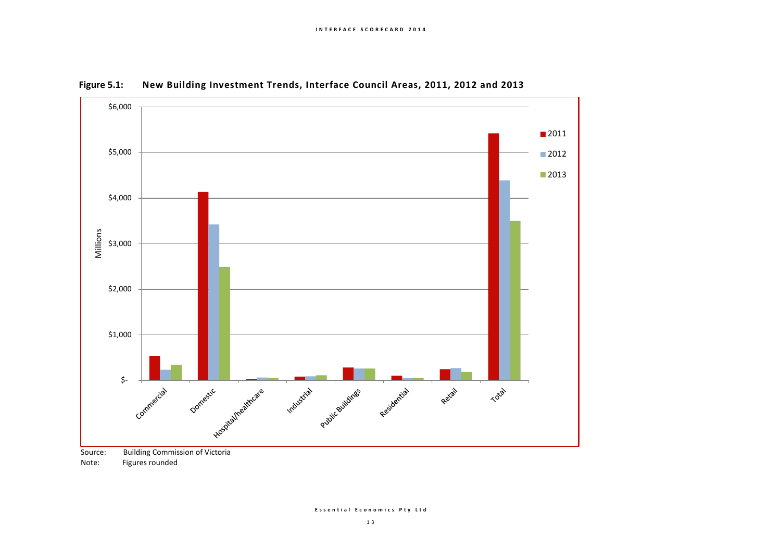

**Figure 5.1: New Building Investment Trends, Interface Council Areas, 2011, 2012 and 2013**

Note: Figures rounded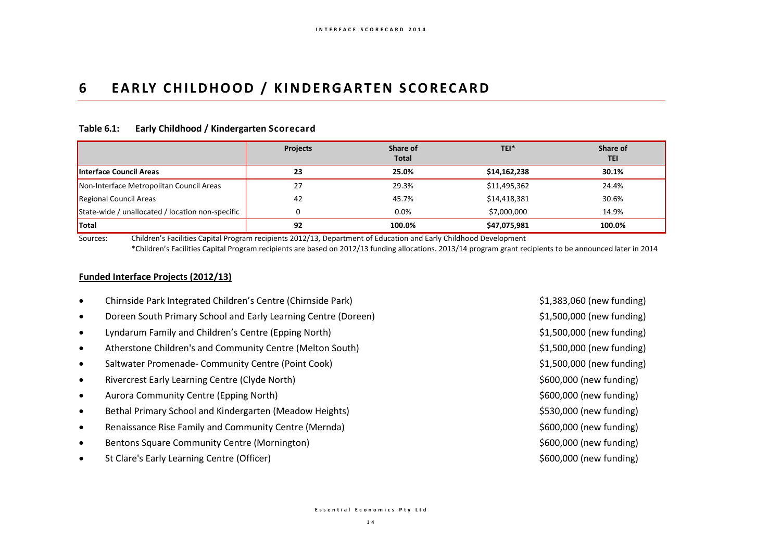## **6 EARLY CHILDHOOD / KINDERGARTEN SCORECARD**

#### **Table 6.1: Early Childhood / Kindergarten Scorecard**

|                                                  | <b>Projects</b> | Share of<br><b>Total</b> | TEI*         | Share of<br><b>TEI</b> |
|--------------------------------------------------|-----------------|--------------------------|--------------|------------------------|
| Interface Council Areas                          | 23              | 25.0%                    | \$14,162,238 | 30.1%                  |
| Non-Interface Metropolitan Council Areas         | 27              | 29.3%                    | \$11,495,362 | 24.4%                  |
| Regional Council Areas                           | 42              | 45.7%                    | \$14,418,381 | 30.6%                  |
| State-wide / unallocated / location non-specific |                 | $0.0\%$                  | \$7,000,000  | 14.9%                  |
| <b>Total</b>                                     | 92              | 100.0%                   | \$47,075,981 | 100.0%                 |

Sources: Children's Facilities Capital Program recipients 2012/13, Department of Education and Early Childhood Development \*Children's Facilities Capital Program recipients are based on 2012/13 funding allocations. 2013/14 program grant recipients to be announced later in 2014

### **Funded Interface Projects (2012/13)**

- Chirnside Park Integrated Children's Centre (Chirnside Park) \$1,383,060 (new funding)
- Doreen South Primary School and Early Learning Centre (Doreen) **\$1,500,000** (new funding)
- Lyndarum Family and Children's Centre (Epping North) **\$1,500,000** (new funding)
- Atherstone Children's and Community Centre (Melton South) \$1,500,000 (new funding)
- Saltwater Promenade‐ Community Centre (Point Cook) また、そのことには、その他には、その他には、その他には、その他には、その他には、その他には、その他には、その他には、その他には、
- Rivercrest Early Learning Centre (Clyde North) **\*** \$600,000 (new funding)
- Aurora Community Centre (Epping North) **\$600,000** (new funding)
- Bethal Primary School and Kindergarten (Meadow Heights) **\$530,000 (new funding)** \$530,000 (new funding)
- Renaissance Rise Family and Community Centre (Mernda) \$600,000 (new funding)
- Bentons Square Community Centre (Mornington) 6600,000 (new funding)
- St Clare's Early Learning Centre (Officer) **\$600,000** (new funding) \$600,000 (new funding)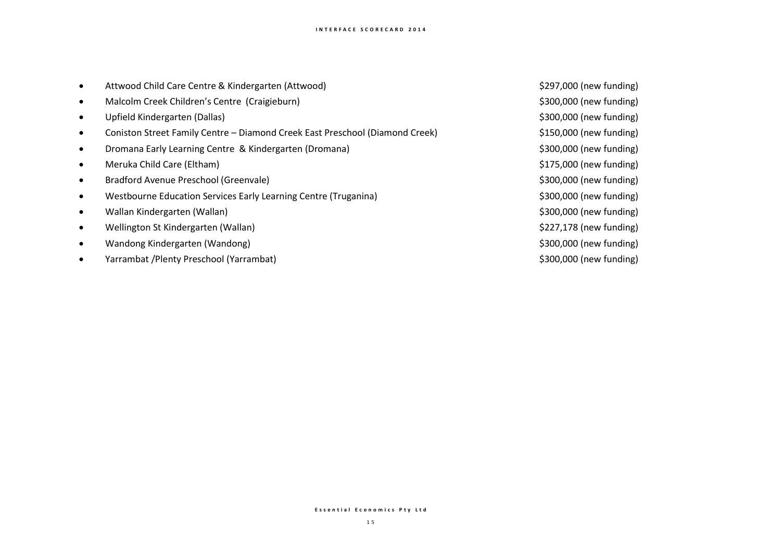|  |  |  | Attwood Child Care Centre & Kindergarten (Attwood) |  |
|--|--|--|----------------------------------------------------|--|
|--|--|--|----------------------------------------------------|--|

- Malcolm Creek Children's Centre (Craigieburn) \$300,000 (new funding)
- Upfield Kindergarten (Dallas) \$300,000 (new funding)
- Coniston Street Family Centre Diamond Creek East Preschool (Diamond Creek) \$150,000 (new funding)
- Dromana Early Learning Centre & Kindergarten (Dromana) \$300,000 (new funding)
- Meruka Child Care (Eltham) **\*** Meruka Child Care (Eltham)
- Bradford Avenue Preschool (Greenvale) **\$300,000** (new funding)
- Westbourne Education Services Early Learning Centre (Truganina) 6300,000 (new funding)
- Wallan Kindergarten (Wallan) by the state of the state of the state of the state of the state of the state of the state of the state of the state of the state of the state of the state of the state of the state of the st
- Wellington St Kindergarten (Wallan) **\***  $\sim$  \$227,178 (new funding)
- Wandong Kindergarten (Wandong) **\$300,000** (new funding)
- Yarrambat /Plenty Preschool (Yarrambat) \$300,000 (new funding)

\$297,000 (new funding)

#### **E s s e n t i a l E c o n o m i c s P t y L t d**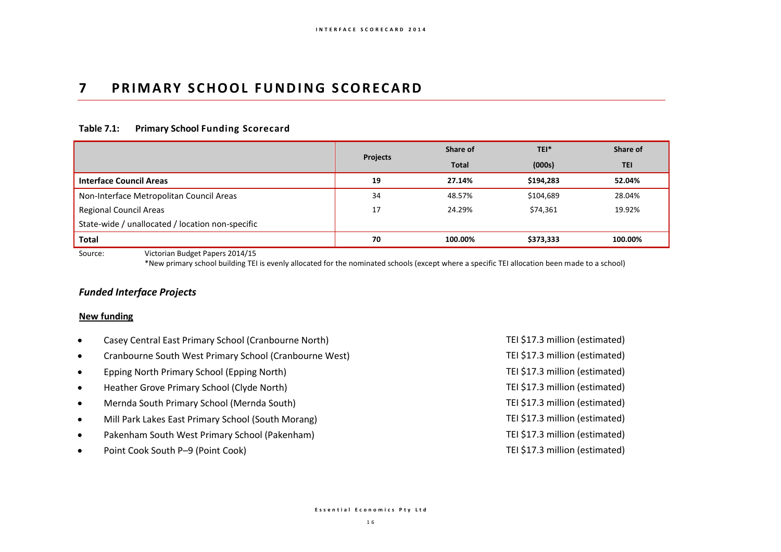## **7 P R I M A RY S C H O O L F U N D IN G S C O R E C A R D**

### **Table 7.1: Primary School Funding Scorecard**

|                                                  |                 | Share of     | TEI*      | Share of   |
|--------------------------------------------------|-----------------|--------------|-----------|------------|
|                                                  | <b>Projects</b> | <b>Total</b> | (000s)    | <b>TEI</b> |
| <b>Interface Council Areas</b>                   | 19              | 27.14%       | \$194,283 | 52.04%     |
| Non-Interface Metropolitan Council Areas         | 34              | 48.57%       | \$104,689 | 28.04%     |
| Regional Council Areas                           | 17              | 24.29%       | \$74,361  | 19.92%     |
| State-wide / unallocated / location non-specific |                 |              |           |            |
| <b>Total</b>                                     | 70              | 100.00%      | \$373,333 | 100.00%    |

Source: Victorian Budget Papers 2014/15

\*New primary school building TEI is evenly allocated for the nominated schools (except where a specific TEI allocation been made to a school)

#### *Funded Interface Projects*

#### **New funding**

- Casey Central East Primary School (Cranbourne North) TEI \$17.3 million (estimated)
- Cranbourne South West Primary School (Cranbourne West) TEI \$17.3 million (estimated)
- Epping North Primary School (Epping North) TEI \$17.3 million (estimated)
- Heather Grove Primary School (Clyde North) TEI \$17.3 million (estimated)
- Mernda South Primary School (Mernda South) TEI \$17.3 million (estimated)
- Mill Park Lakes East Primary School (South Morang) TEI \$17.3 million (estimated)
- Pakenham South West Primary School (Pakenham) TEI \$17.3 million (estimated)
- Point Cook South P–9 (Point Cook) TEI \$17.3 million (estimated)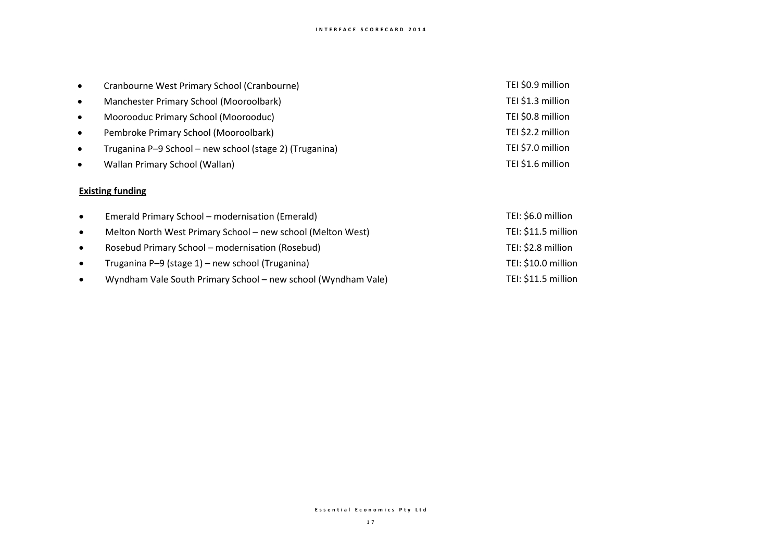| $\bullet$ | Cranbourne West Primary School (Cranbourne)             | TEI \$0.9 million |
|-----------|---------------------------------------------------------|-------------------|
| $\bullet$ | Manchester Primary School (Mooroolbark)                 | TEI \$1.3 million |
| $\bullet$ | Moorooduc Primary School (Moorooduc)                    | TEI \$0.8 million |
| $\bullet$ | Pembroke Primary School (Mooroolbark)                   | TEI \$2.2 million |
| $\bullet$ | Truganina P-9 School - new school (stage 2) (Truganina) | TEI \$7.0 million |
| $\bullet$ | Wallan Primary School (Wallan)                          | TEI \$1.6 million |

## **Existing funding**

| $\bullet$ | Emerald Primary School - modernisation (Emerald)              | TEI: \$6.0 million  |
|-----------|---------------------------------------------------------------|---------------------|
| $\bullet$ | Melton North West Primary School – new school (Melton West)   | TEI: \$11.5 million |
| $\bullet$ | Rosebud Primary School - modernisation (Rosebud)              | TEI: \$2.8 million  |
| $\bullet$ | Truganina P-9 (stage 1) – new school (Truganina)              | TEI: \$10.0 million |
| $\bullet$ | Wyndham Vale South Primary School - new school (Wyndham Vale) | TEI: \$11.5 million |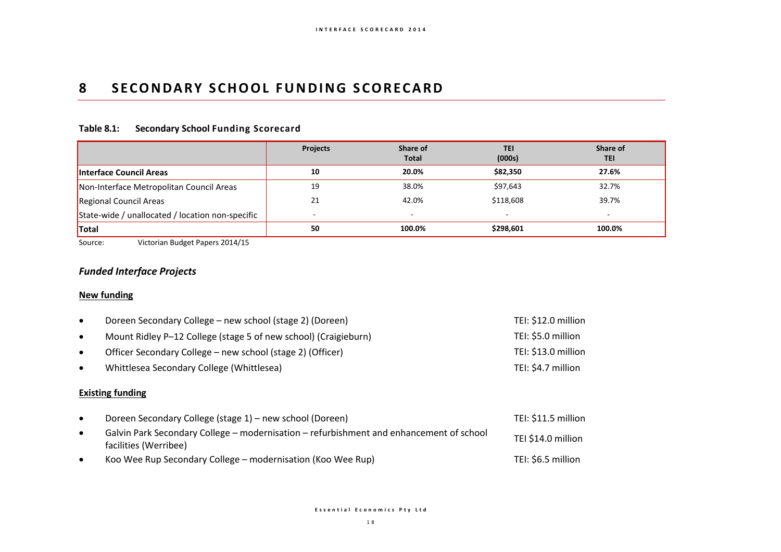## **8 SECONDARY SCHOOL FUNDING SCORECARD**

### **Table 8.1: Secondary School Funding Scorecard**

|                                                  | <b>Projects</b>          | Share of<br><b>Total</b> | <b>TEI</b><br>(000s) | Share of<br><b>TEI</b>   |
|--------------------------------------------------|--------------------------|--------------------------|----------------------|--------------------------|
| <b>Interface Council Areas</b>                   | 10                       | 20.0%                    | \$82,350             | 27.6%                    |
| Non-Interface Metropolitan Council Areas         | 19                       | 38.0%                    | \$97,643             | 32.7%                    |
| Regional Council Areas                           | 21                       | 42.0%                    | \$118,608            | 39.7%                    |
| State-wide / unallocated / location non-specific | $\overline{\phantom{a}}$ | $\overline{a}$           |                      | $\overline{\phantom{a}}$ |
| Total                                            | 50                       | 100.0%                   | \$298.601            | 100.0%                   |

Source: Victorian Budget Papers 2014/15

## *Funded Interface Projects*

### **New funding**

| $\bullet$ | Doreen Secondary College – new school (stage 2) (Doreen)        | TEI: \$12.0 million |  |  |  |
|-----------|-----------------------------------------------------------------|---------------------|--|--|--|
| $\bullet$ | Mount Ridley P-12 College (stage 5 of new school) (Craigieburn) | TEI: \$5.0 million  |  |  |  |
| $\bullet$ | Officer Secondary College – new school (stage 2) (Officer)      | TEI: \$13.0 million |  |  |  |
| $\bullet$ | Whittlesea Secondary College (Whittlesea)                       | TEI: \$4.7 million  |  |  |  |
|           | <b>Existing funding</b>                                         |                     |  |  |  |

|           | Doreen Secondary College (stage 1) – new school (Doreen)                                                         | TEI: \$11.5 million |
|-----------|------------------------------------------------------------------------------------------------------------------|---------------------|
|           | Galvin Park Secondary College – modernisation – refurbishment and enhancement of school<br>facilities (Werribee) | TEI \$14.0 million  |
| $\bullet$ | Koo Wee Rup Secondary College – modernisation (Koo Wee Rup)                                                      | TEI: \$6.5 million  |

**E s s e n t i a l E c o n o m i c s P t y L t d**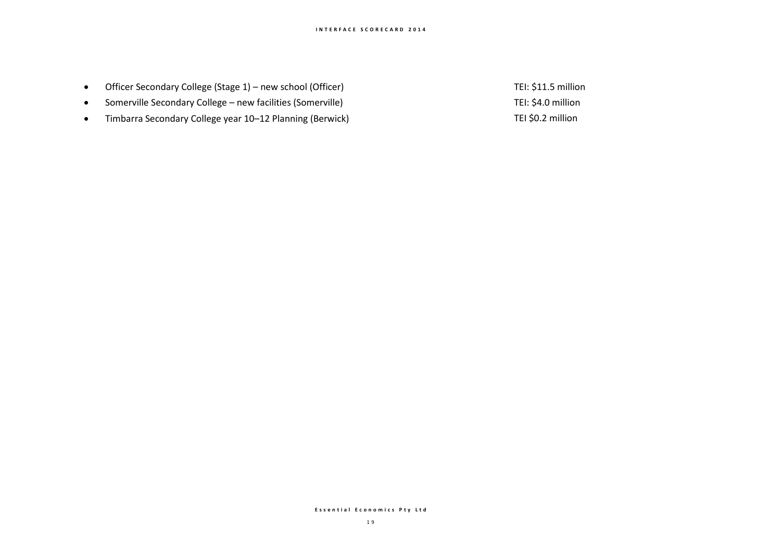- Officer Secondary College (Stage 1) new school (Officer) TEI: \$11.5 million
- Somerville Secondary College new facilities (Somerville) TEI: \$4.0 million
- Timbarra Secondary College year 10–12 Planning (Berwick) TEL SO.2 million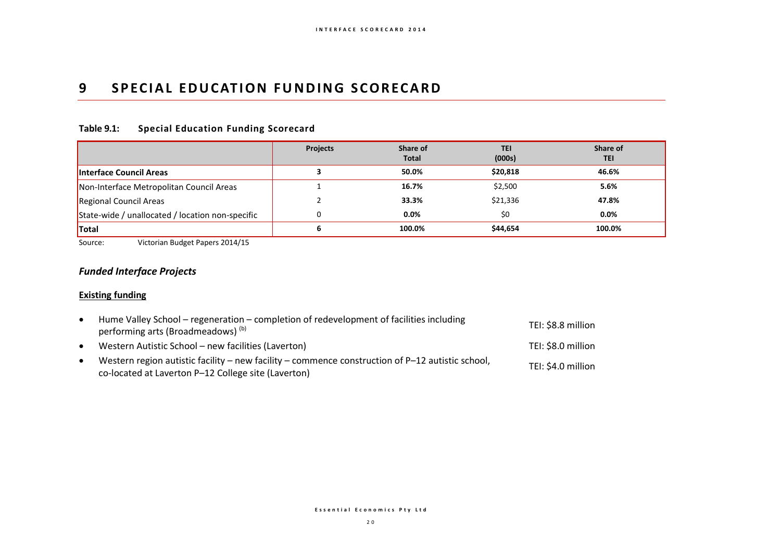## **9 SPECIAL EDUCATION FUNDING SCORECARD**

### **Table 9.1: Special Education Funding Scorecard**

|                                                  | <b>Projects</b> | Share of<br><b>Total</b> | <b>TEI</b><br>(000s) | Share of<br><b>TEI</b> |
|--------------------------------------------------|-----------------|--------------------------|----------------------|------------------------|
| <b>Interface Council Areas</b>                   |                 | 50.0%                    | \$20,818             | 46.6%                  |
| Non-Interface Metropolitan Council Areas         |                 | 16.7%                    | \$2,500              | 5.6%                   |
| Regional Council Areas                           |                 | 33.3%                    | \$21,336             | 47.8%                  |
| State-wide / unallocated / location non-specific | 0               | 0.0%                     | \$0                  | 0.0%                   |
| <b>Total</b>                                     | 6               | 100.0%                   | \$44,654             | 100.0%                 |

Source: Victorian Budget Papers 2014/15

## *Funded Interface Projects*

### **Existing funding**

| $\bullet$ | Hume Valley School – regeneration – completion of redevelopment of facilities including<br>performing arts (Broadmeadows) <sup>(b)</sup>                  | TEI: \$8.8 million |
|-----------|-----------------------------------------------------------------------------------------------------------------------------------------------------------|--------------------|
| $\bullet$ | Western Autistic School - new facilities (Laverton)                                                                                                       | TEI: \$8.0 million |
| ٠         | Western region autistic facility – new facility – commence construction of $P-12$ autistic school,<br>co-located at Laverton P-12 College site (Laverton) | TEI: \$4.0 million |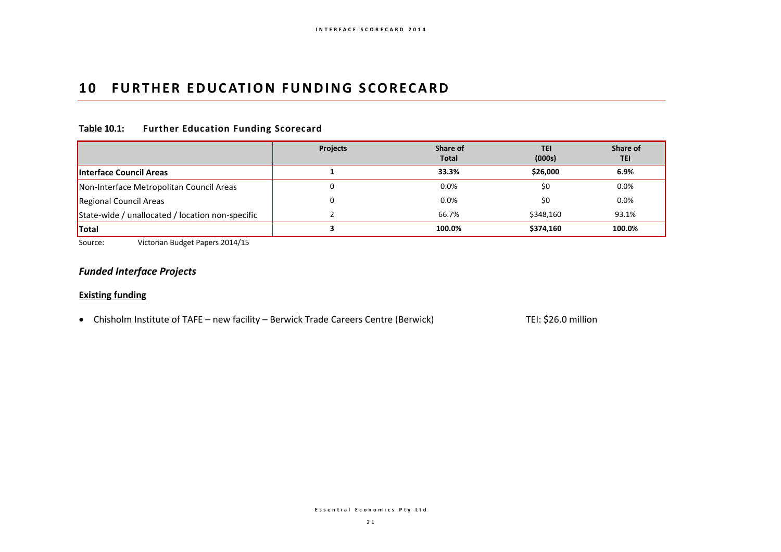## **10 FURTHER EDUCATION FUNDING SCORECARD**

### **Table 10.1: Further Education Funding Scorecard**

|                                                  | <b>Projects</b> | Share of<br><b>Total</b> | TEI<br>(000s) | Share of<br>TEI |
|--------------------------------------------------|-----------------|--------------------------|---------------|-----------------|
| <b>Interface Council Areas</b>                   |                 | 33.3%                    | \$26,000      | 6.9%            |
| Non-Interface Metropolitan Council Areas         | υ               | 0.0%                     | \$0           | $0.0\%$         |
| Regional Council Areas                           | 0               | 0.0%                     | \$0           | 0.0%            |
| State-wide / unallocated / location non-specific |                 | 66.7%                    | \$348,160     | 93.1%           |
| <b>Total</b>                                     |                 | 100.0%                   | \$374,160     | 100.0%          |

Source: Victorian Budget Papers 2014/15

## *Funded Interface Projects*

#### **Existing funding**

• Chisholm Institute of TAFE – new facility – Berwick Trade Careers Centre (Berwick) TEI: \$26.0 million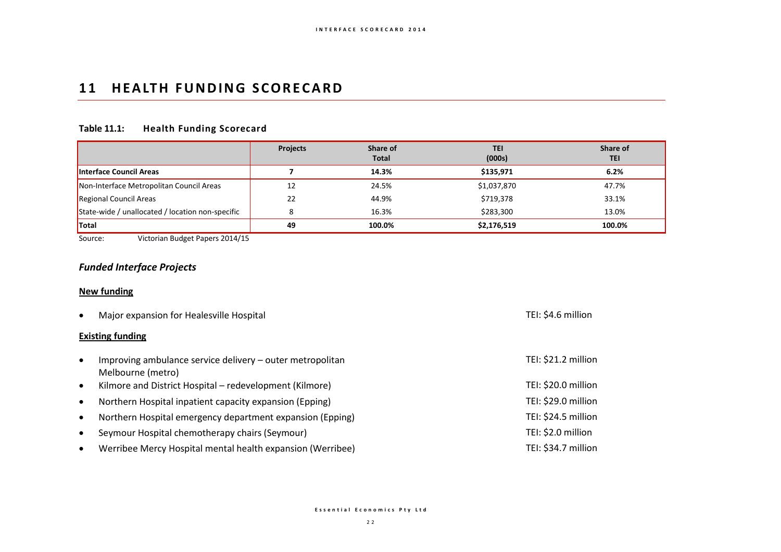## **11 HEALTH FUNDING SCORECARD**

## **Table 11.1: Health Funding Scorecard**

|                                                  | <b>Projects</b> | Share of<br><b>Total</b> | <b>TEI</b><br>(000s) | Share of<br>TEI |
|--------------------------------------------------|-----------------|--------------------------|----------------------|-----------------|
| <b>Interface Council Areas</b>                   |                 | 14.3%                    | \$135,971            | 6.2%            |
| Non-Interface Metropolitan Council Areas         | 12              | 24.5%                    | \$1,037,870          | 47.7%           |
| Regional Council Areas                           | 22              | 44.9%                    | \$719,378            | 33.1%           |
| State-wide / unallocated / location non-specific |                 | 16.3%                    | \$283,300            | 13.0%           |
| <b>Total</b>                                     | 49              | 100.0%                   | \$2,176,519          | 100.0%          |

Source: Victorian Budget Papers 2014/15

## *Funded Interface Projects*

#### **New funding**

| $\bullet$ | Major expansion for Healesville Hospital                                       | TEI: \$4.6 million  |
|-----------|--------------------------------------------------------------------------------|---------------------|
|           | <b>Existing funding</b>                                                        |                     |
| $\bullet$ | Improving ambulance service delivery - outer metropolitan<br>Melbourne (metro) | TEI: \$21.2 million |
| $\bullet$ | Kilmore and District Hospital – redevelopment (Kilmore)                        | TEI: \$20.0 million |
| $\bullet$ | Northern Hospital inpatient capacity expansion (Epping)                        | TEI: \$29.0 million |
| $\bullet$ | Northern Hospital emergency department expansion (Epping)                      | TEI: \$24.5 million |
| $\bullet$ | Seymour Hospital chemotherapy chairs (Seymour)                                 | TEI: \$2.0 million  |
| $\bullet$ | Werribee Mercy Hospital mental health expansion (Werribee)                     | TEI: \$34.7 million |

**E s s e n t i a l E c o n o m i c s P t y L t d**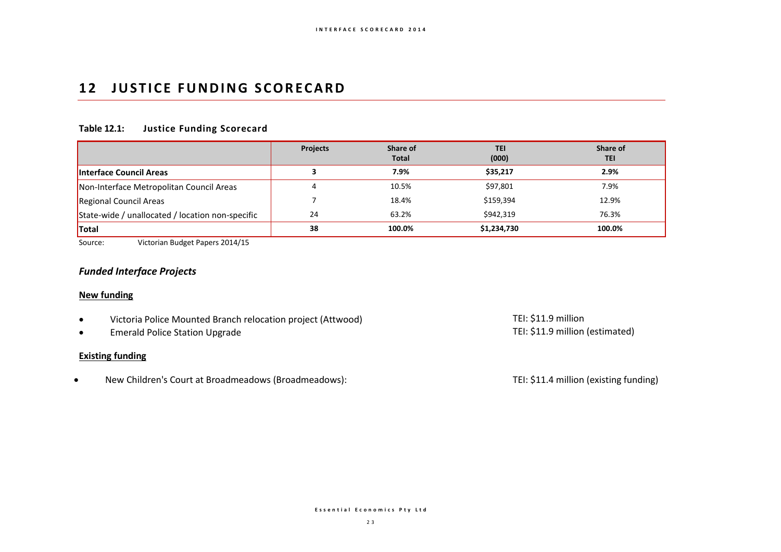## **12 JUSTICE FUNDING SCORECARD**

## **Table 12.1: Justice Funding Scorecard**

|                                                  | <b>Projects</b> | Share of<br><b>Total</b> | <b>TEI</b><br>(000) | Share of<br><b>TEI</b> |
|--------------------------------------------------|-----------------|--------------------------|---------------------|------------------------|
| <b>Interface Council Areas</b>                   |                 | 7.9%                     | \$35,217            | 2.9%                   |
| Non-Interface Metropolitan Council Areas         |                 | 10.5%                    | \$97,801            | 7.9%                   |
| Regional Council Areas                           |                 | 18.4%                    | \$159,394           | 12.9%                  |
| State-wide / unallocated / location non-specific | 24              | 63.2%                    | \$942,319           | 76.3%                  |
| Total                                            | 38              | 100.0%                   | \$1,234,730         | 100.0%                 |

Source: Victorian Budget Papers 2014/15

### *Funded Interface Projects*

#### **New funding**

- Victoria Police Mounted Branch relocation project (Attwood) TEI: \$11.9 million TEI: \$11.9 million<br>• Emerald Police Station Upgrade TEI: \$11.9 million (estimated)
- Emerald Police Station Upgrade

#### **Existing funding**

New Children's Court at Broadmeadows (Broadmeadows): TEI: \$11.4 million (existing funding)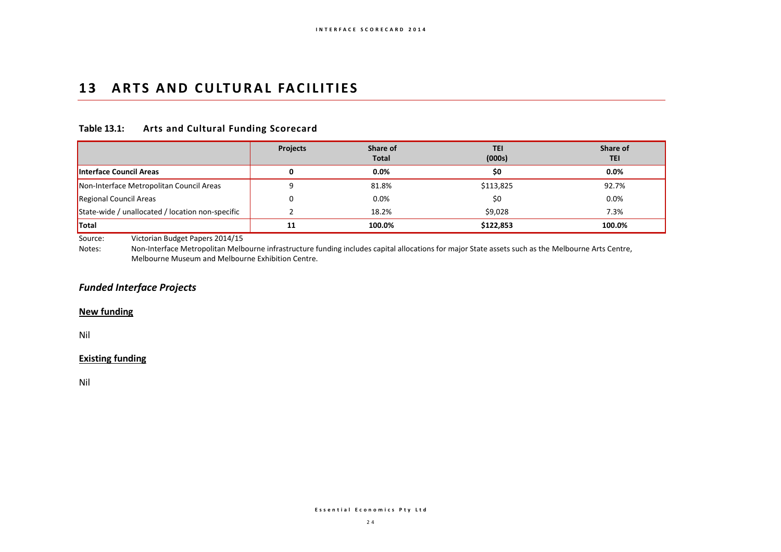## 13 ARTS AND CULTURAL FACILITIES

### **Table 13.1: Arts and Cultural Funding Scorecard**

|                                                  | <b>Projects</b> | Share of<br><b>Total</b> | <b>TEI</b><br>(000s) | Share of<br>TEI |
|--------------------------------------------------|-----------------|--------------------------|----------------------|-----------------|
| Interface Council Areas                          |                 | $0.0\%$                  | \$0                  | $0.0\%$         |
| Non-Interface Metropolitan Council Areas         |                 | 81.8%                    | \$113,825            | 92.7%           |
| Regional Council Areas                           |                 | 0.0%                     | \$0                  | 0.0%            |
| State-wide / unallocated / location non-specific |                 | 18.2%                    | \$9,028              | 7.3%            |
| <b>Total</b>                                     | 11              | 100.0%                   | \$122,853            | 100.0%          |

Source: Victorian Budget Papers 2014/15

Notes: Non-Interface Metropolitan Melbourne infrastructure funding includes capital allocations for major State assets such as the Melbourne Arts Centre, Melbourne Museum and Melbourne Exhibition Centre.

## *Funded Interface Projects*

#### **New funding**

Nil

### **Existing funding**

Nil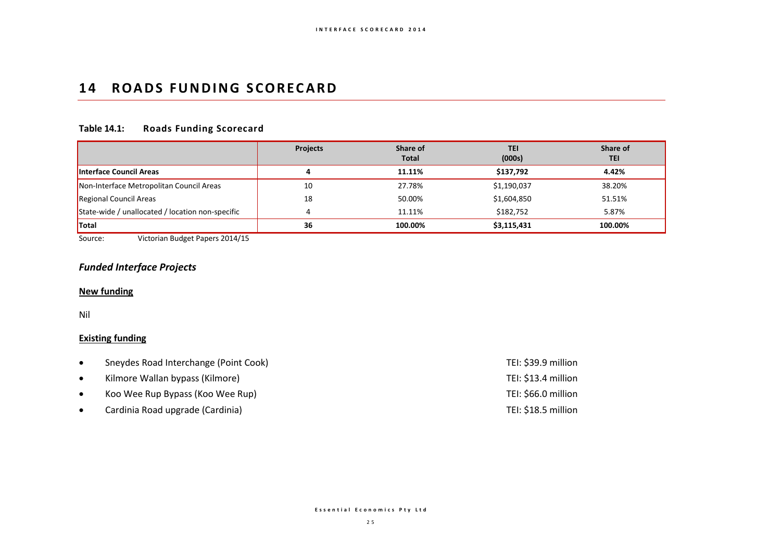## **14 ROADS FUNDING SCORECARD**

## **Table 14.1: Roads Funding Scorecard**

|                                                  | <b>Projects</b> | Share of<br><b>Total</b> | <b>TEI</b><br>(000s) | Share of<br>TEI |
|--------------------------------------------------|-----------------|--------------------------|----------------------|-----------------|
| <b>Interface Council Areas</b>                   |                 | 11.11%                   | \$137,792            | 4.42%           |
| Non-Interface Metropolitan Council Areas         | 10              | 27.78%                   | \$1,190,037          | 38.20%          |
| <b>Regional Council Areas</b>                    | 18              | 50.00%                   | \$1,604,850          | 51.51%          |
| State-wide / unallocated / location non-specific |                 | 11.11%                   | \$182,752            | 5.87%           |
| <b>Total</b>                                     | 36              | 100.00%                  | \$3,115,431          | 100.00%         |

Source: Victorian Budget Papers 2014/15

### *Funded Interface Projects*

#### **New funding**

Nil

## **Existing funding**

| $\bullet$ | Sneydes Road Interchange (Point Cook) | TEI: \$39.9 million |
|-----------|---------------------------------------|---------------------|
| $\bullet$ | Kilmore Wallan bypass (Kilmore)       | TEI: \$13.4 million |
| $\bullet$ | Koo Wee Rup Bypass (Koo Wee Rup)      | TEI: \$66.0 million |
|           | Cardinia Road upgrade (Cardinia)      | TEI: \$18.5 million |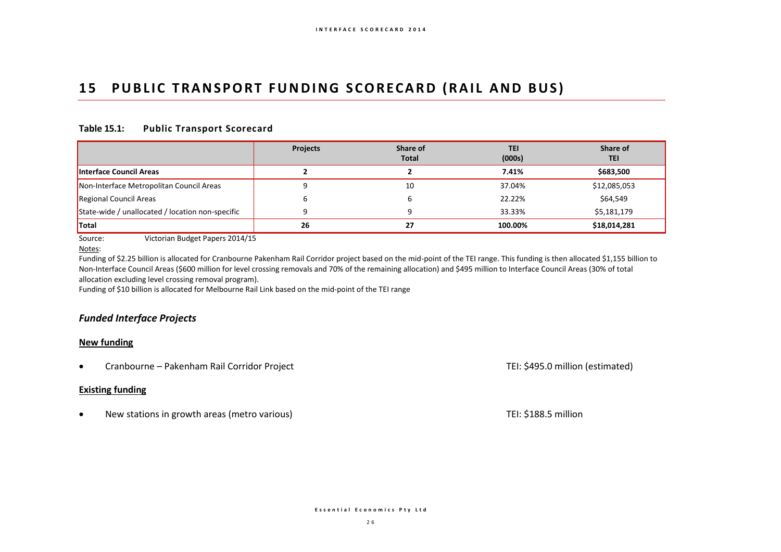## 15 PUBLIC TRANSPORT FUNDING SCORECARD (RAIL AND BUS)

### **Table 15.1: Public Transport Scorecard**

|                                                  | <b>Projects</b> | Share of<br>Total | <b>TEI</b><br>(000s) | Share of<br>TEI |
|--------------------------------------------------|-----------------|-------------------|----------------------|-----------------|
| <b>Interface Council Areas</b>                   |                 |                   | 7.41%                | \$683,500       |
| Non-Interface Metropolitan Council Areas         |                 | 10                | 37.04%               | \$12,085,053    |
| Regional Council Areas                           |                 |                   | 22.22%               | \$64,549        |
| State-wide / unallocated / location non-specific |                 |                   | 33.33%               | \$5,181,179     |
| <b>Total</b>                                     | 26              | 27                | 100.00%              | \$18,014,281    |

Source: Victorian Budget Papers 2014/15

Notes:

Funding of \$2.25 billion is allocated for Cranbourne Pakenham Rail Corridor project based on the mid-point of the TEI range. This funding is then allocated \$1,155 billion to Non-Interface Council Areas (\$600 million for level crossing removals and 70% of the remaining allocation) and \$495 million to Interface Council Areas (30% of total allocation excluding level crossing removal program).

Funding of \$10 billion is allocated for Melbourne Rail Link based on the mid-point of the TEI range

## *Funded Interface Projects*

#### **New funding**

• Cranbourne – Pakenham Rail Corridor Project Cranbourne – Pakenham Rail Corridor Project Cranbourne – Pakenham Rail Corridor Project

#### **Existing funding**

• New stations in growth areas (metro various) and the state of the state of the Superior of TEI: \$188.5 million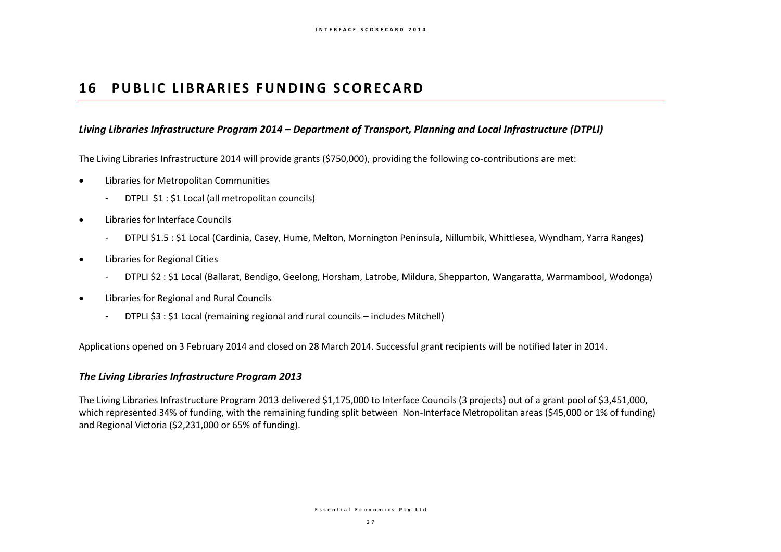## **16 PUBLIC LIBRARIES FUNDING SCORECARD**

### *Living Libraries Infrastructure Program 2014 – Department of Transport, Planning and Local Infrastructure (DTPLI)*

The Living Libraries Infrastructure 2014 will provide grants (\$750,000), providing the following co-contributions are met:

- Libraries for Metropolitan Communities
	- DTPLI \$1 : \$1 Local (all metropolitan councils)
- Libraries for Interface Councils
	- DTPLI \$1.5 : \$1 Local (Cardinia, Casey, Hume, Melton, Mornington Peninsula, Nillumbik, Whittlesea, Wyndham, Yarra Ranges)
- Libraries for Regional Cities
	- DTPLI \$2 : \$1 Local (Ballarat, Bendigo, Geelong, Horsham, Latrobe, Mildura, Shepparton, Wangaratta, Warrnambool, Wodonga)
- Libraries for Regional and Rural Councils
	- DTPLI \$3 : \$1 Local (remaining regional and rural councils includes Mitchell)

Applications opened on 3 February 2014 and closed on 28 March 2014. Successful grant recipients will be notified later in 2014.

### *The Living Libraries Infrastructure Program 2013*

The Living Libraries Infrastructure Program 2013 delivered \$1,175,000 to Interface Councils (3 projects) out of a grant pool of \$3,451,000, which represented 34% of funding, with the remaining funding split between Non-Interface Metropolitan areas (\$45,000 or 1% of funding) and Regional Victoria (\$2,231,000 or 65% of funding).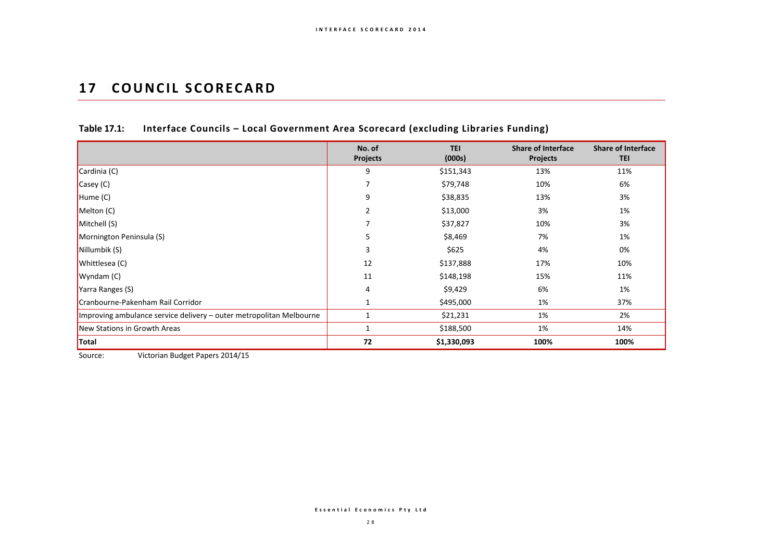## **17 COUNCIL SCORECARD**

|                                                                     | No. of<br><b>Projects</b> | <b>TEI</b><br>(000s) | <b>Share of Interface</b><br><b>Projects</b> | <b>Share of Interface</b><br><b>TEI</b> |
|---------------------------------------------------------------------|---------------------------|----------------------|----------------------------------------------|-----------------------------------------|
| Cardinia (C)                                                        | 9                         | \$151,343            | 13%                                          | 11%                                     |
| $\mathsf{Casey}\left(\mathsf{C}\right)$                             |                           | \$79,748             | 10%                                          | 6%                                      |
| $H$ ume (C)                                                         | 9                         | \$38,835             | 13%                                          | 3%                                      |
| Melton (C)                                                          | 2                         | \$13,000             | 3%                                           | 1%                                      |
| Mitchell (S)                                                        |                           | \$37,827             | 10%                                          | 3%                                      |
| Mornington Peninsula (S)                                            | 5                         | \$8,469              | 7%                                           | 1%                                      |
| Nillumbik (S)                                                       | 3                         | \$625                | 4%                                           | 0%                                      |
| Whittlesea (C)                                                      | 12                        | \$137,888            | 17%                                          | 10%                                     |
| Wyndam(C)                                                           | 11                        | \$148,198            | 15%                                          | 11%                                     |
| Yarra Ranges (S)                                                    | 4                         | \$9,429              | 6%                                           | 1%                                      |
| Cranbourne-Pakenham Rail Corridor                                   |                           | \$495,000            | 1%                                           | 37%                                     |
| Improving ambulance service delivery – outer metropolitan Melbourne |                           | \$21,231             | 1%                                           | 2%                                      |
| New Stations in Growth Areas                                        | $\mathbf{1}$              | \$188,500            | 1%                                           | 14%                                     |
| Total                                                               | 72                        | \$1,330,093          | 100%                                         | 100%                                    |

## **Table 17.1: Interface Councils – Local Government Area Scorecard (excluding Libraries Funding)**

Source: Victorian Budget Papers 2014/15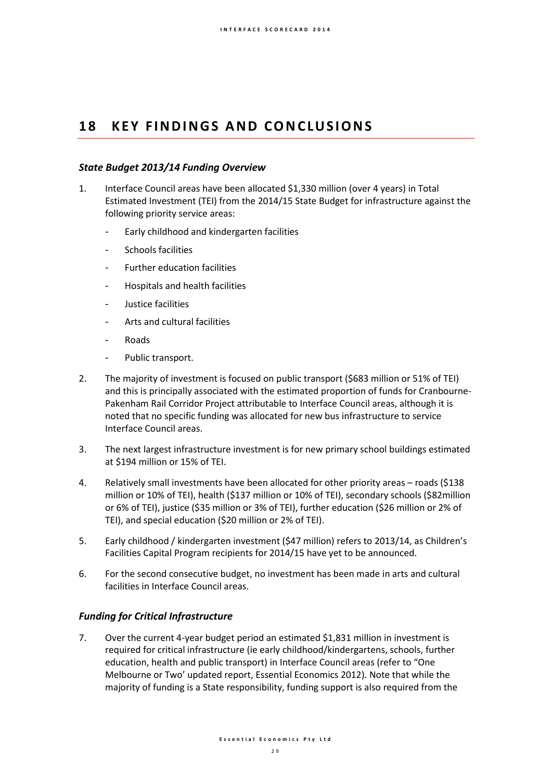## 18 **KEY FINDINGS AND CONCLUSIONS**

### *State Budget 2013/14 Funding Overview*

- 1. Interface Council areas have been allocated \$1,330 million (over 4 years) in Total Estimated Investment (TEI) from the 2014/15 State Budget for infrastructure against the following priority service areas:
	- Early childhood and kindergarten facilities
	- Schools facilities
	- Further education facilities
	- Hospitals and health facilities
	- Justice facilities
	- Arts and cultural facilities
	- **Roads**
	- Public transport.
- 2. The majority of investment is focused on public transport (\$683 million or 51% of TEI) and this is principally associated with the estimated proportion of funds for Cranbourne-Pakenham Rail Corridor Project attributable to Interface Council areas, although it is noted that no specific funding was allocated for new bus infrastructure to service Interface Council areas.
- 3. The next largest infrastructure investment is for new primary school buildings estimated at \$194 million or 15% of TEI.
- 4. Relatively small investments have been allocated for other priority areas roads (\$138 million or 10% of TEI), health (\$137 million or 10% of TEI), secondary schools (\$82million or 6% of TEI), justice (\$35 million or 3% of TEI), further education (\$26 million or 2% of TEI), and special education (\$20 million or 2% of TEI).
- 5. Early childhood / kindergarten investment (\$47 million) refers to 2013/14, as Children's Facilities Capital Program recipients for 2014/15 have yet to be announced.
- 6. For the second consecutive budget, no investment has been made in arts and cultural facilities in Interface Council areas.

### *Funding for Critical Infrastructure*

7. Over the current 4-year budget period an estimated \$1,831 million in investment is required for critical infrastructure (ie early childhood/kindergartens, schools, further education, health and public transport) in Interface Council areas (refer to "One Melbourne or Two' updated report, Essential Economics 2012). Note that while the majority of funding is a State responsibility, funding support is also required from the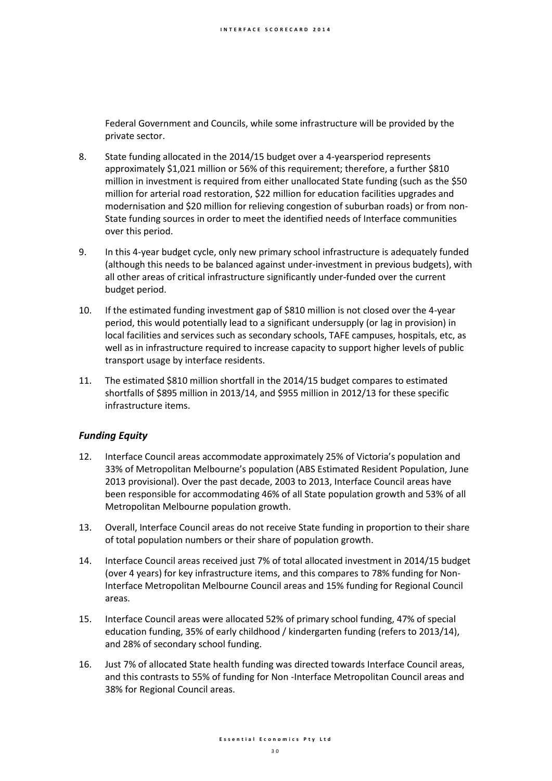Federal Government and Councils, while some infrastructure will be provided by the private sector.

- 8. State funding allocated in the 2014/15 budget over a 4-yearsperiod represents approximately \$1,021 million or 56% of this requirement; therefore, a further \$810 million in investment is required from either unallocated State funding (such as the \$50 million for arterial road restoration, \$22 million for education facilities upgrades and modernisation and \$20 million for relieving congestion of suburban roads) or from non-State funding sources in order to meet the identified needs of Interface communities over this period.
- 9. In this 4-year budget cycle, only new primary school infrastructure is adequately funded (although this needs to be balanced against under-investment in previous budgets), with all other areas of critical infrastructure significantly under-funded over the current budget period.
- 10. If the estimated funding investment gap of \$810 million is not closed over the 4-year period, this would potentially lead to a significant undersupply (or lag in provision) in local facilities and services such as secondary schools, TAFE campuses, hospitals, etc, as well as in infrastructure required to increase capacity to support higher levels of public transport usage by interface residents.
- 11. The estimated \$810 million shortfall in the 2014/15 budget compares to estimated shortfalls of \$895 million in 2013/14, and \$955 million in 2012/13 for these specific infrastructure items.

## *Funding Equity*

- 12. Interface Council areas accommodate approximately 25% of Victoria's population and 33% of Metropolitan Melbourne's population (ABS Estimated Resident Population, June 2013 provisional). Over the past decade, 2003 to 2013, Interface Council areas have been responsible for accommodating 46% of all State population growth and 53% of all Metropolitan Melbourne population growth.
- 13. Overall, Interface Council areas do not receive State funding in proportion to their share of total population numbers or their share of population growth.
- 14. Interface Council areas received just 7% of total allocated investment in 2014/15 budget (over 4 years) for key infrastructure items, and this compares to 78% funding for Non-Interface Metropolitan Melbourne Council areas and 15% funding for Regional Council areas.
- 15. Interface Council areas were allocated 52% of primary school funding, 47% of special education funding, 35% of early childhood / kindergarten funding (refers to 2013/14), and 28% of secondary school funding.
- 16. Just 7% of allocated State health funding was directed towards Interface Council areas, and this contrasts to 55% of funding for Non -Interface Metropolitan Council areas and 38% for Regional Council areas.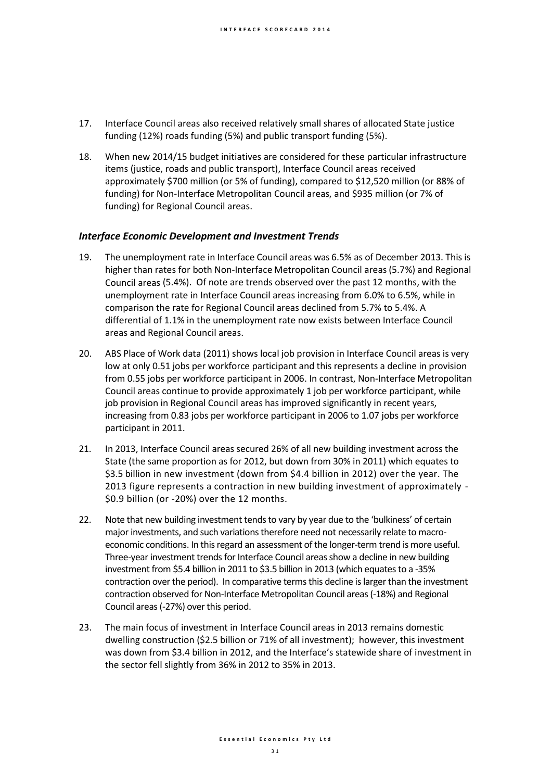- 17. Interface Council areas also received relatively small shares of allocated State justice funding (12%) roads funding (5%) and public transport funding (5%).
- 18. When new 2014/15 budget initiatives are considered for these particular infrastructure items (justice, roads and public transport), Interface Council areas received approximately \$700 million (or 5% of funding), compared to \$12,520 million (or 88% of funding) for Non-Interface Metropolitan Council areas, and \$935 million (or 7% of funding) for Regional Council areas.

### *Interface Economic Development and Investment Trends*

- 19. The unemployment rate in Interface Council areas was 6.5% as of December 2013. This is higher than rates for both Non-Interface Metropolitan Council areas(5.7%) and Regional Council areas (5.4%). Of note are trends observed over the past 12 months, with the unemployment rate in Interface Council areas increasing from 6.0% to 6.5%, while in comparison the rate for Regional Council areas declined from 5.7% to 5.4%. A differential of 1.1% in the unemployment rate now exists between Interface Council areas and Regional Council areas.
- 20. ABS Place of Work data (2011) shows local job provision in Interface Council areas is very low at only 0.51 jobs per workforce participant and this represents a decline in provision from 0.55 jobs per workforce participant in 2006. In contrast, Non-Interface Metropolitan Council areas continue to provide approximately 1 job per workforce participant, while job provision in Regional Council areas has improved significantly in recent years, increasing from 0.83 jobs per workforce participant in 2006 to 1.07 jobs per workforce participant in 2011.
- 21. In 2013, Interface Council areas secured 26% of all new building investment across the State (the same proportion as for 2012, but down from 30% in 2011) which equates to \$3.5 billion in new investment (down from \$4.4 billion in 2012) over the year. The 2013 figure represents a contraction in new building investment of approximately - \$0.9 billion (or -20%) over the 12 months.
- 22. Note that new building investment tends to vary by year due to the 'bulkiness' of certain major investments, and such variations therefore need not necessarily relate to macroeconomic conditions. In this regard an assessment of the longer-term trend is more useful. Three-year investment trends for Interface Council areas show a decline in new building investment from \$5.4 billion in 2011 to \$3.5 billion in 2013 (which equates to a -35% contraction over the period). In comparative terms this decline is larger than the investment contraction observed for Non-Interface Metropolitan Council areas (-18%) and Regional Council areas (-27%) over this period.
- 23. The main focus of investment in Interface Council areas in 2013 remains domestic dwelling construction (\$2.5 billion or 71% of all investment); however, this investment was down from \$3.4 billion in 2012, and the Interface's statewide share of investment in the sector fell slightly from 36% in 2012 to 35% in 2013.